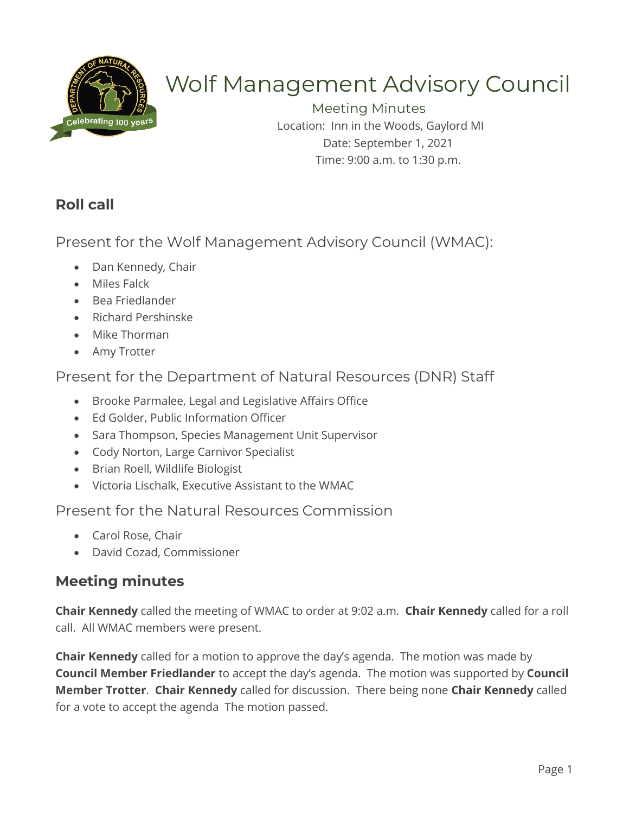

# Wolf Management Advisory Council

Meeting Minutes Location: Inn in the Woods, Gaylord MI Date: September 1, 2021 Time: 9:00 a.m. to 1:30 p.m.

# **Roll call**

Present for the Wolf Management Advisory Council (WMAC):

- Dan Kennedy, Chair
- Miles Falck
- Bea Friedlander
- Richard Pershinske
- Mike Thorman
- Amy Trotter

## Present for the Department of Natural Resources (DNR) Staff

- Brooke Parmalee, Legal and Legislative Affairs Office
- Ed Golder, Public Information Officer
- Sara Thompson, Species Management Unit Supervisor
- Cody Norton, Large Carnivor Specialist
- Brian Roell, Wildlife Biologist
- Victoria Lischalk, Executive Assistant to the WMAC

## Present for the Natural Resources Commission

- Carol Rose, Chair
- David Cozad, Commissioner

# **Meeting minutes**

**Chair Kennedy** called the meeting of WMAC to order at 9:02 a.m. **Chair Kennedy** called for a roll call. All WMAC members were present.

**Chair Kennedy** called for a motion to approve the day's agenda. The motion was made by **Council Member Friedlander** to accept the day's agenda. The motion was supported by **Council Member Trotter**. **Chair Kennedy** called for discussion. There being none **Chair Kennedy** called for a vote to accept the agenda The motion passed.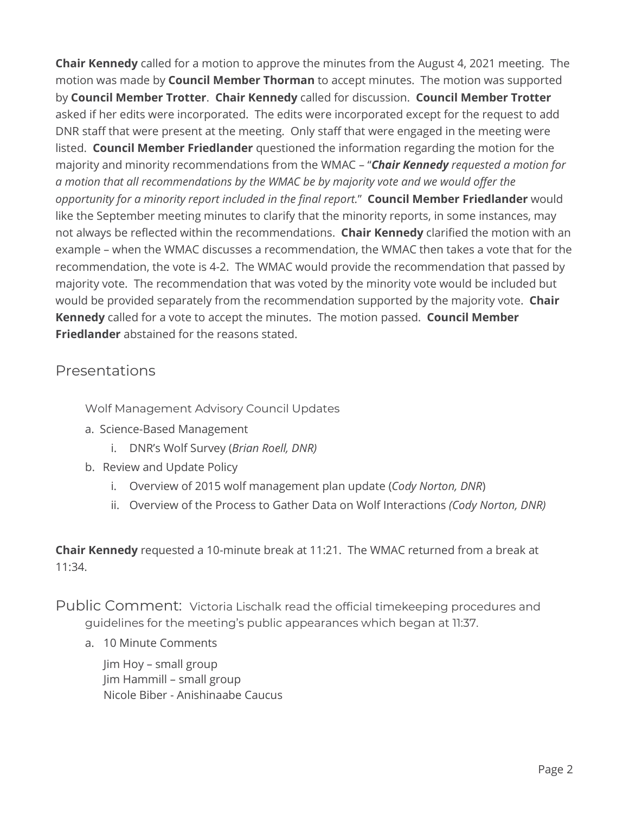**Chair Kennedy** called for a motion to approve the minutes from the August 4, 2021 meeting. The motion was made by **Council Member Thorman** to accept minutes. The motion was supported by **Council Member Trotter**. **Chair Kennedy** called for discussion. **Council Member Trotter**  asked if her edits were incorporated. The edits were incorporated except for the request to add DNR staff that were present at the meeting. Only staff that were engaged in the meeting were listed. **Council Member Friedlander** questioned the information regarding the motion for the majority and minority recommendations from the WMAC – "*Chair Kennedy requested a motion for a motion that all recommendations by the WMAC be by majority vote and we would offer the opportunity for a minority report included in the final report.*" **Council Member Friedlander** would like the September meeting minutes to clarify that the minority reports, in some instances, may not always be reflected within the recommendations. **Chair Kennedy** clarified the motion with an example – when the WMAC discusses a recommendation, the WMAC then takes a vote that for the recommendation, the vote is 4-2. The WMAC would provide the recommendation that passed by majority vote. The recommendation that was voted by the minority vote would be included but would be provided separately from the recommendation supported by the majority vote. **Chair Kennedy** called for a vote to accept the minutes. The motion passed. **Council Member Friedlander** abstained for the reasons stated.

## Presentations

Wolf Management Advisory Council Updates

- a. Science-Based Management
	- i. DNR's Wolf Survey (*Brian Roell, DNR)*
- b. Review and Update Policy
	- i. Overview of 2015 wolf management plan update (*Cody Norton, DNR*)
	- ii. Overview of the Process to Gather Data on Wolf Interactions *(Cody Norton, DNR)*

**Chair Kennedy** requested a 10-minute break at 11:21. The WMAC returned from a break at 11:34.

Public Comment: Victoria Lischalk read the official timekeeping procedures and guidelines for the meeting's public appearances which began at 11:37.

a. 10 Minute Comments

Jim Hoy – small group Jim Hammill – small group Nicole Biber - Anishinaabe Caucus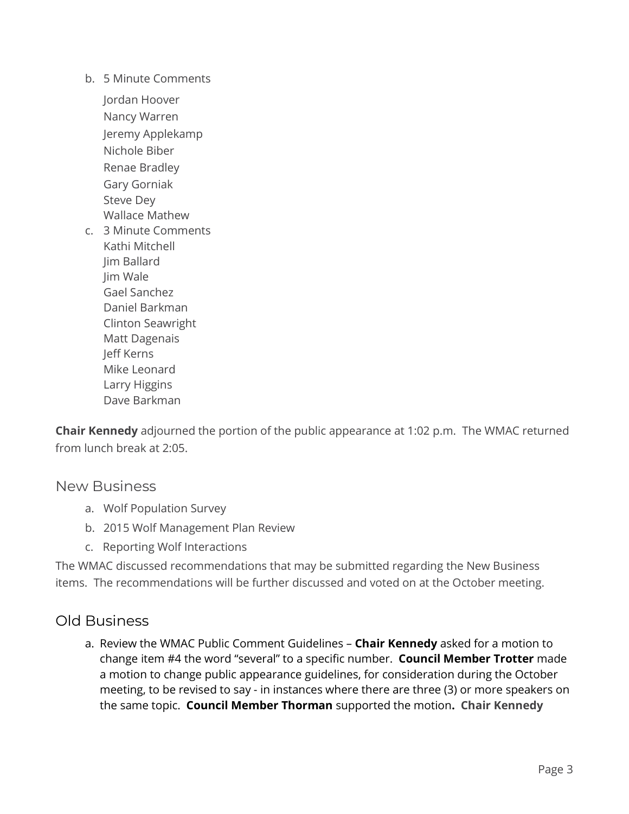b. 5 Minute Comments

Jordan Hoover Nancy Warren Jeremy Applekamp Nichole Biber Renae Bradley Gary Gorniak Steve Dey Wallace Mathew

c. 3 Minute Comments Kathi Mitchell Jim Ballard Jim Wale Gael Sanchez Daniel Barkman Clinton Seawright Matt Dagenais Jeff Kerns Mike Leonard Larry Higgins Dave Barkman

**Chair Kennedy** adjourned the portion of the public appearance at 1:02 p.m. The WMAC returned from lunch break at 2:05.

#### New Business

- a. Wolf Population Survey
- b. 2015 Wolf Management Plan Review
- c. Reporting Wolf Interactions

The WMAC discussed recommendations that may be submitted regarding the New Business items. The recommendations will be further discussed and voted on at the October meeting.

#### Old Business

a. Review the WMAC Public Comment Guidelines – **Chair Kennedy** asked for a motion to change item #4 the word "several" to a specific number. **Council Member Trotter** made a motion to change public appearance guidelines, for consideration during the October meeting, to be revised to say - in instances where there are three (3) or more speakers on the same topic. **Council Member Thorman** supported the motion**. Chair Kennedy**